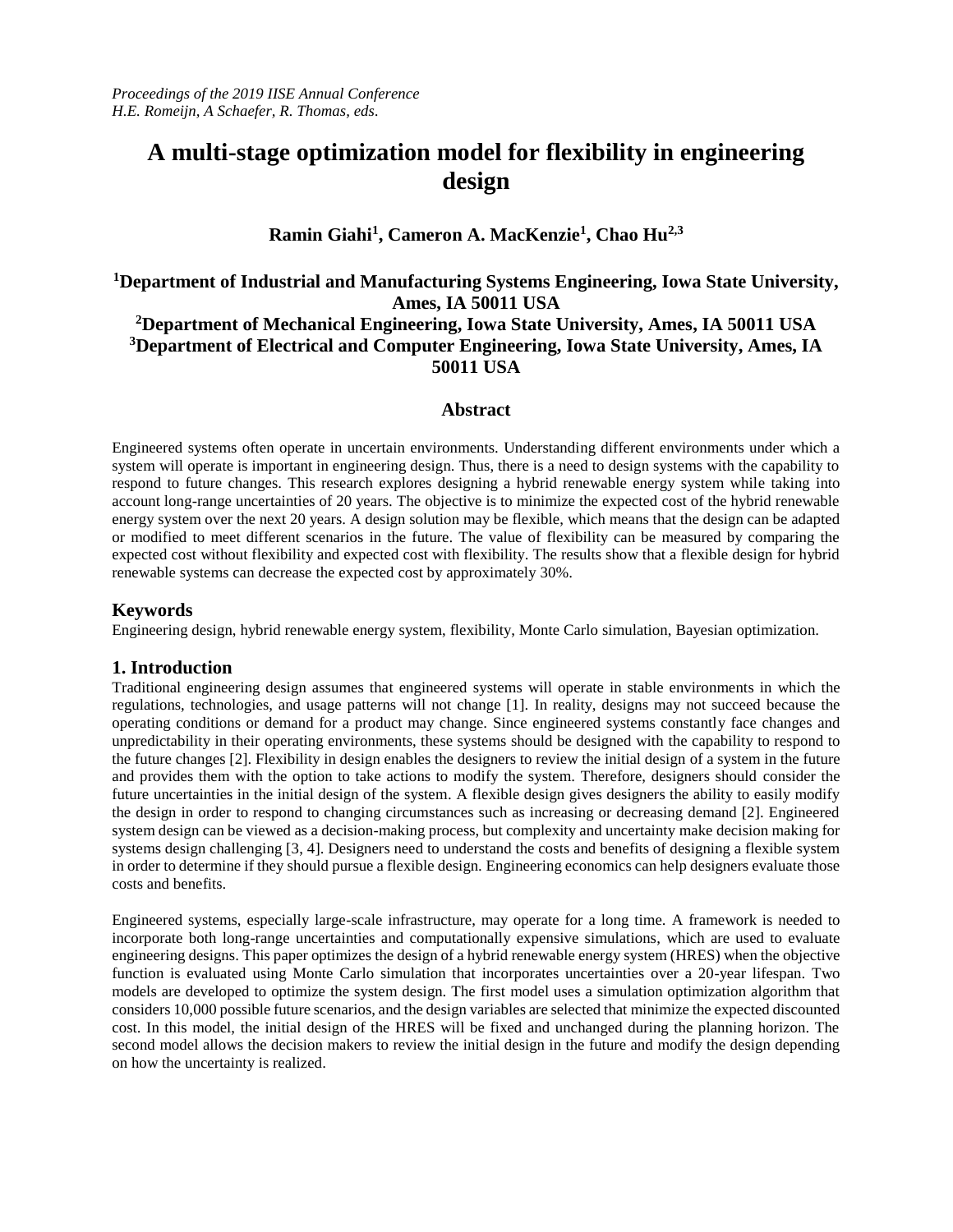# **A multi-stage optimization model for flexibility in engineering design**

# **Ramin Giahi<sup>1</sup> , Cameron A. MacKenzie<sup>1</sup> , Chao Hu2,3**

# **<sup>1</sup>Department of Industrial and Manufacturing Systems Engineering, Iowa State University, Ames, IA 50011 USA <sup>2</sup>Department of Mechanical Engineering, Iowa State University, Ames, IA 50011 USA <sup>3</sup>Department of Electrical and Computer Engineering, Iowa State University, Ames, IA 50011 USA**

### **Abstract**

Engineered systems often operate in uncertain environments. Understanding different environments under which a system will operate is important in engineering design. Thus, there is a need to design systems with the capability to respond to future changes. This research explores designing a hybrid renewable energy system while taking into account long-range uncertainties of 20 years. The objective is to minimize the expected cost of the hybrid renewable energy system over the next 20 years. A design solution may be flexible, which means that the design can be adapted or modified to meet different scenarios in the future. The value of flexibility can be measured by comparing the expected cost without flexibility and expected cost with flexibility. The results show that a flexible design for hybrid renewable systems can decrease the expected cost by approximately 30%.

### **Keywords**

Engineering design, hybrid renewable energy system, flexibility, Monte Carlo simulation, Bayesian optimization.

### **1. Introduction**

Traditional engineering design assumes that engineered systems will operate in stable environments in which the regulations, technologies, and usage patterns will not change [1]. In reality, designs may not succeed because the operating conditions or demand for a product may change. Since engineered systems constantly face changes and unpredictability in their operating environments, these systems should be designed with the capability to respond to the future changes [2]. Flexibility in design enables the designers to review the initial design of a system in the future and provides them with the option to take actions to modify the system. Therefore, designers should consider the future uncertainties in the initial design of the system. A flexible design gives designers the ability to easily modify the design in order to respond to changing circumstances such as increasing or decreasing demand [2]. Engineered system design can be viewed as a decision-making process, but complexity and uncertainty make decision making for systems design challenging [3, 4]. Designers need to understand the costs and benefits of designing a flexible system in order to determine if they should pursue a flexible design. Engineering economics can help designers evaluate those costs and benefits.

Engineered systems, especially large-scale infrastructure, may operate for a long time. A framework is needed to incorporate both long-range uncertainties and computationally expensive simulations, which are used to evaluate engineering designs. This paper optimizes the design of a hybrid renewable energy system (HRES) when the objective function is evaluated using Monte Carlo simulation that incorporates uncertainties over a 20-year lifespan. Two models are developed to optimize the system design. The first model uses a simulation optimization algorithm that considers 10,000 possible future scenarios, and the design variables are selected that minimize the expected discounted cost. In this model, the initial design of the HRES will be fixed and unchanged during the planning horizon. The second model allows the decision makers to review the initial design in the future and modify the design depending on how the uncertainty is realized.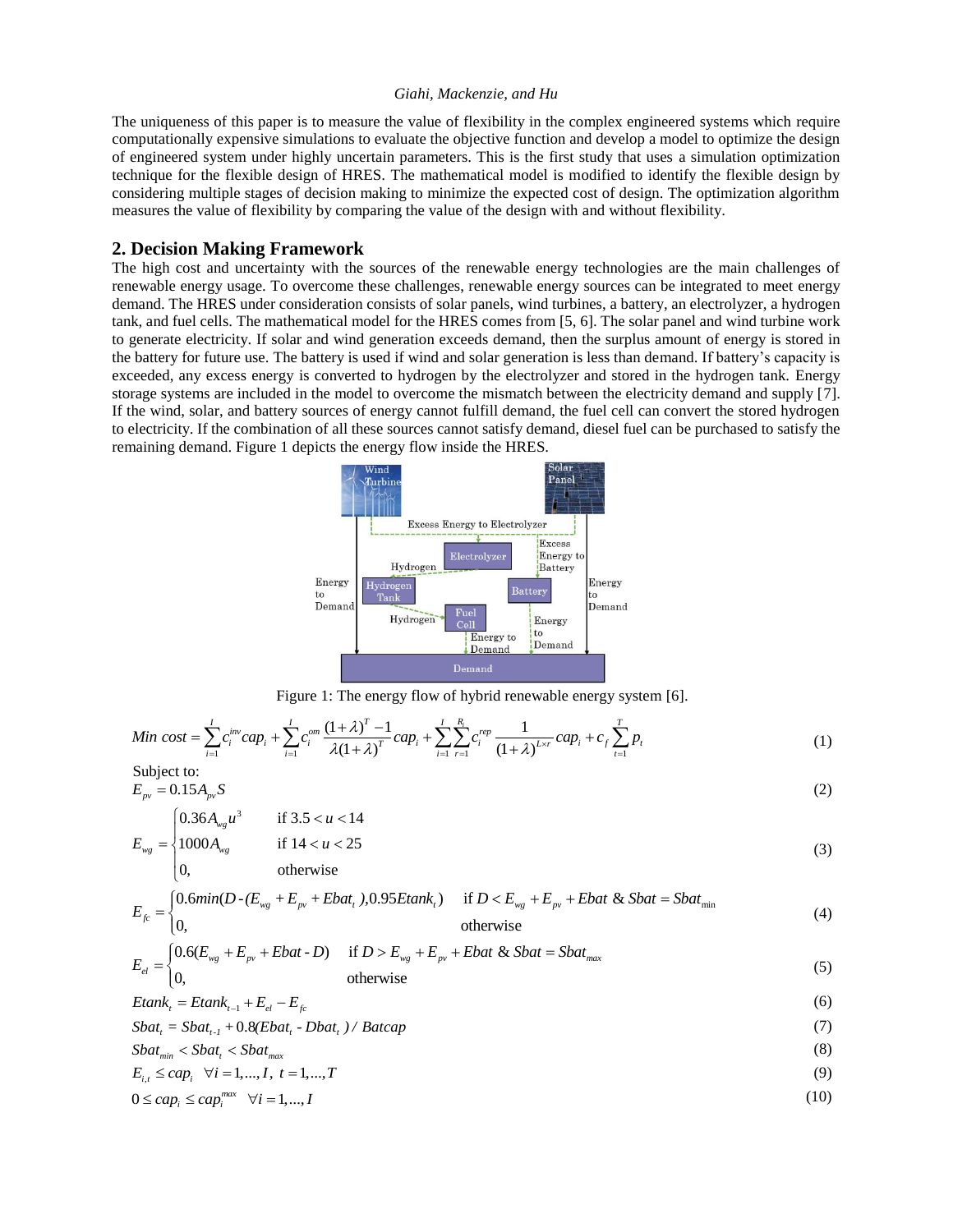The uniqueness of this paper is to measure the value of flexibility in the complex engineered systems which require computationally expensive simulations to evaluate the objective function and develop a model to optimize the design of engineered system under highly uncertain parameters. This is the first study that uses a simulation optimization technique for the flexible design of HRES. The mathematical model is modified to identify the flexible design by considering multiple stages of decision making to minimize the expected cost of design. The optimization algorithm measures the value of flexibility by comparing the value of the design with and without flexibility.

### **2. Decision Making Framework**

The high cost and uncertainty with the sources of the renewable energy technologies are the main challenges of renewable energy usage. To overcome these challenges, renewable energy sources can be integrated to meet energy demand. The HRES under consideration consists of solar panels, wind turbines, a battery, an electrolyzer, a hydrogen tank, and fuel cells. The mathematical model for the HRES comes from [5, 6]. The solar panel and wind turbine work to generate electricity. If solar and wind generation exceeds demand, then the surplus amount of energy is stored in the battery for future use. The battery is used if wind and solar generation is less than demand. If battery's capacity is exceeded, any excess energy is converted to hydrogen by the electrolyzer and stored in the hydrogen tank. Energy storage systems are included in the model to overcome the mismatch between the electricity demand and supply [7]. If the wind, solar, and battery sources of energy cannot fulfill demand, the fuel cell can convert the stored hydrogen to electricity. If the combination of all these sources cannot satisfy demand, diesel fuel can be purchased to satisfy the remaining demand. Figure 1 depicts the energy flow inside the HRES.





$$
\text{Figure 1: The energy flow of hybrid renewal energy system [6].}
$$
\n
$$
\text{Min cost} = \sum_{i=1}^{I} c_i^{\text{inv}} \, cap_i + \sum_{i=1}^{I} c_i^{\text{om}} \, \frac{(1+\lambda)^T - 1}{\lambda(1+\lambda)^T} \, cap_i + \sum_{i=1}^{I} \sum_{r=1}^{R_i} c_i^{\text{rep}} \, \frac{1}{(1+\lambda)^{L \times r}} \, cap_i + c_f \sum_{t=1}^{T} p_t \tag{1}
$$

Subject to:  
\n
$$
E_{pv} = 0.15 A_{pv} S
$$
\n(2)

$$
E_{wg} = \begin{cases} 0.36A_{wg}u^3 & \text{if } 3.5 < u < 14 \\ 1000A_{wg} & \text{if } 14 < u < 25 \end{cases}
$$
(3)

$$
E_{wg} = \begin{cases} 1000A_{wg} & \text{if } 14 < u < 25\\ 0, & \text{otherwise} \end{cases}
$$
(3)  

$$
E_{fc} = \begin{cases} 0.6\text{min}(D \cdot (E_{wg} + E_{pv} + Ebat_t), 0.95E tank_t) & \text{if } D < E_{wg} + E_{pv} + Ebat & \& Sbat = Sbat_{min} \end{cases}
$$
(4)

$$
E_{fc} =\begin{cases} 0.6\text{min}(D \cdot (E_{wg} + E_{pv} + Ebat_t), 0.95E tank_t) & \text{if } D < E_{wg} + E_{pv} + Ebat & Sbat = Sbat_{min} \\ 0, & \text{otherwise} \end{cases} \tag{4}
$$
\n
$$
E_{fc} =\begin{cases} 0.6(E_{wg} + E_{pv} + Ebat - D) & \text{if } D > E_{wg} + E_{pv} + Ebat & Sbat = Sbat_{max} \end{cases} \tag{5}
$$

$$
E_{el} = \begin{cases} 0.6(E_{wg} + E_{pv} + Ebat \cdot D) & \text{if } D > E_{wg} + E_{pv} + Ebat \& Sbat = Sbat_{max} \\ 0, & \text{otherwise} \end{cases}
$$
(5)

$$
Etank_i = Etank_{i-1} + E_{el} - E_{fc}
$$
\n
$$
(6)
$$

$$
Etank_{i} = Etank_{i-1} + E_{el} - E_{fc}
$$
\n
$$
Sbat_{i} = Sbat_{i-1} + 0.8(Ebat_{i} - Dbat_{i}) / Batcap
$$
\n
$$
(7)
$$

$$
Sbat_{min} < Sbat_t < Sbat_{max} \tag{8}
$$

$$
E_{i,t} \leq cap_i \quad \forall i = 1,...,I, \ t = 1,...,T
$$
 (9)

$$
0 \le cap_i \le cap_i^{max} \quad \forall i = 1,...,I
$$
\n(10)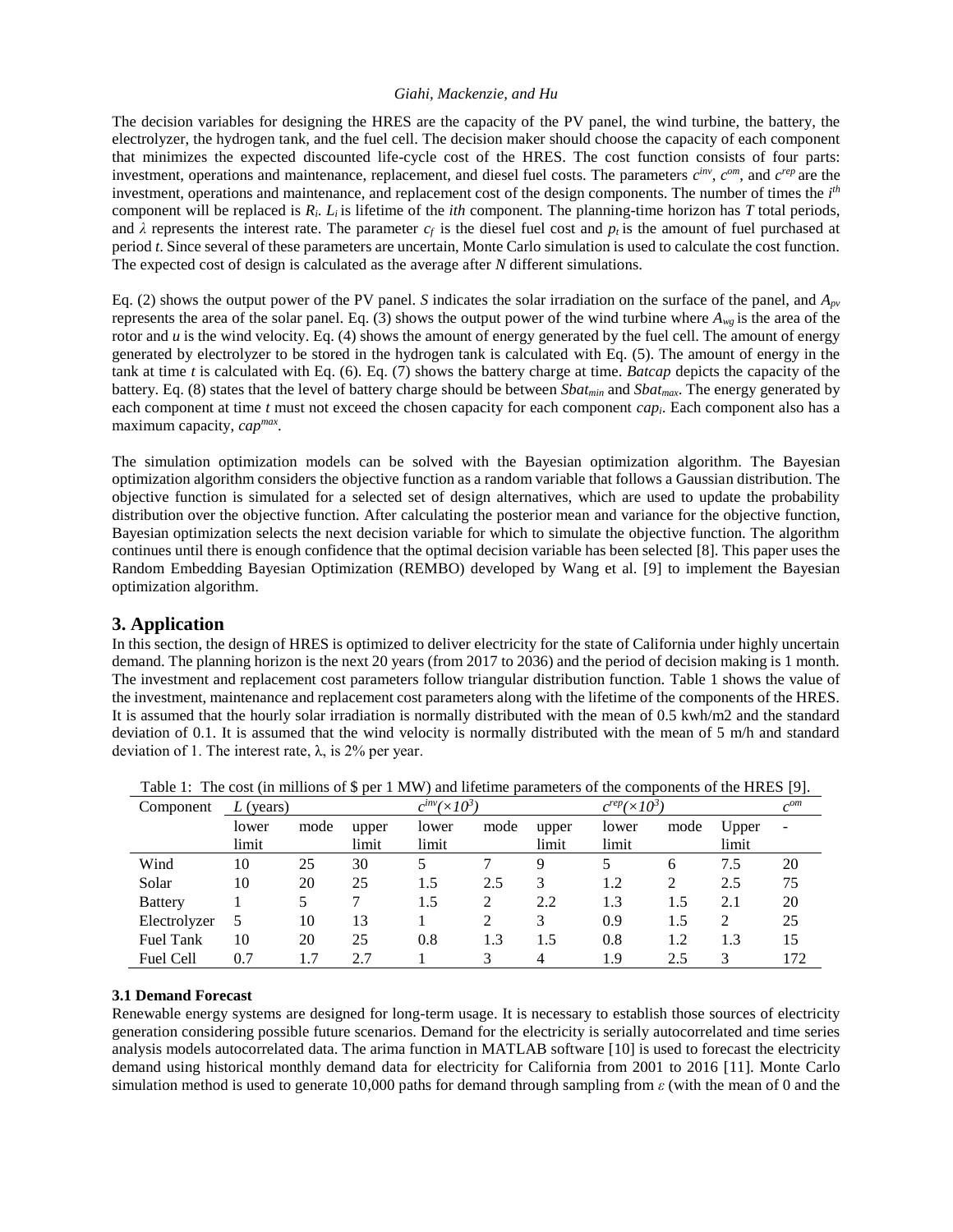The decision variables for designing the HRES are the capacity of the PV panel, the wind turbine, the battery, the electrolyzer, the hydrogen tank, and the fuel cell. The decision maker should choose the capacity of each component that minimizes the expected discounted life-cycle cost of the HRES. The cost function consists of four parts: investment, operations and maintenance, replacement, and diesel fuel costs. The parameters  $c^{inv}$ ,  $c^{om}$ , and  $c^{rep}$  are the investment, operations and maintenance, and replacement cost of the design components. The number of times the  $i<sup>th</sup>$ component will be replaced is  $R_i$ .  $L_i$  is lifetime of the *ith* component. The planning-time horizon has *T* total periods, and  $\lambda$  represents the interest rate. The parameter  $c_f$  is the diesel fuel cost and  $p_t$  is the amount of fuel purchased at period *t*. Since several of these parameters are uncertain, Monte Carlo simulation is used to calculate the cost function. The expected cost of design is calculated as the average after *N* different simulations.

Eq. (2) shows the output power of the PV panel. *S* indicates the solar irradiation on the surface of the panel, and  $A_{\rho\nu}$ represents the area of the solar panel. Eq. (3) shows the output power of the wind turbine where  $A_{w}$  is the area of the rotor and *u* is the wind velocity. Eq. (4) shows the amount of energy generated by the fuel cell. The amount of energy generated by electrolyzer to be stored in the hydrogen tank is calculated with Eq. (5). The amount of energy in the tank at time *t* is calculated with Eq. (6). Eq. (7) shows the battery charge at time. *Batcap* depicts the capacity of the battery. Eq. (8) states that the level of battery charge should be between *Sbatmin* and *Sbatmax*. The energy generated by each component at time *t* must not exceed the chosen capacity for each component *capi*. Each component also has a maximum capacity, *capmax* .

The simulation optimization models can be solved with the Bayesian optimization algorithm. The Bayesian optimization algorithm considers the objective function as a random variable that follows a Gaussian distribution. The objective function is simulated for a selected set of design alternatives, which are used to update the probability distribution over the objective function. After calculating the posterior mean and variance for the objective function, Bayesian optimization selects the next decision variable for which to simulate the objective function. The algorithm continues until there is enough confidence that the optimal decision variable has been selected [8]. This paper uses the Random Embedding Bayesian Optimization (REMBO) developed by Wang et al. [9] to implement the Bayesian optimization algorithm.

### **3. Application**

In this section, the design of HRES is optimized to deliver electricity for the state of California under highly uncertain demand. The planning horizon is the next 20 years (from 2017 to 2036) and the period of decision making is 1 month. The investment and replacement cost parameters follow triangular distribution function. Table 1 shows the value of the investment, maintenance and replacement cost parameters along with the lifetime of the components of the HRES. It is assumed that the hourly solar irradiation is normally distributed with the mean of 0.5 kwh/m2 and the standard deviation of 0.1. It is assumed that the wind velocity is normally distributed with the mean of 5 m/h and standard deviation of 1. The interest rate,  $λ$ , is 2% per year.

| Component        | $L$ (years) |      |       | $c^{inv}(\times 10^3)$ |      |       | $c^{rep}$ ( $\times 10^3$ |      | $c^{om}$ |                          |
|------------------|-------------|------|-------|------------------------|------|-------|---------------------------|------|----------|--------------------------|
|                  | lower       | mode | upper | lower                  | mode | upper | lower                     | mode | Upper    | $\overline{\phantom{a}}$ |
|                  | limit       |      | limit | limit                  |      | limit | limit                     |      | limit    |                          |
| Wind             | 10          | 25   | 30    | 5                      |      | 9     | 5                         | 6    | 7.5      | 20                       |
| Solar            | 10          | 20   | 25    | 1.5                    | 2.5  | 3     | 1.2                       | 2    | 2.5      | 75                       |
| <b>Battery</b>   |             |      |       | 1.5                    |      | 2.2   | 1.3                       | 1.5  | 2.1      | 20                       |
| Electrolyzer     | 5           | 10   | 13    |                        |      | 3     | 0.9                       | 1.5  | 2        | 25                       |
| <b>Fuel Tank</b> | 10          | 20   | 25    | 0.8                    | 1.3  | 1.5   | 0.8                       | 1.2  | 1.3      | 15                       |
| Fuel Cell        | 0.7         | 1.7  |       |                        |      | 4     | 1.9                       | 2.5  |          | 172                      |

Table 1: The cost (in millions of \$ per 1 MW) and lifetime parameters of the components of the HRES [9].

### **3.1 Demand Forecast**

Renewable energy systems are designed for long-term usage. It is necessary to establish those sources of electricity generation considering possible future scenarios. Demand for the electricity is serially autocorrelated and time series analysis models autocorrelated data. The arima function in MATLAB software [10] is used to forecast the electricity demand using historical monthly demand [data](https://www.eia.gov/opendata/qb.php?category=38&sdid=ELEC.SALES.CA-ALL.M) for electricity for California from 2001 to 2016 [11]. Monte Carlo simulation method is used to generate 10,000 paths for demand through sampling from *ε* (with the mean of 0 and the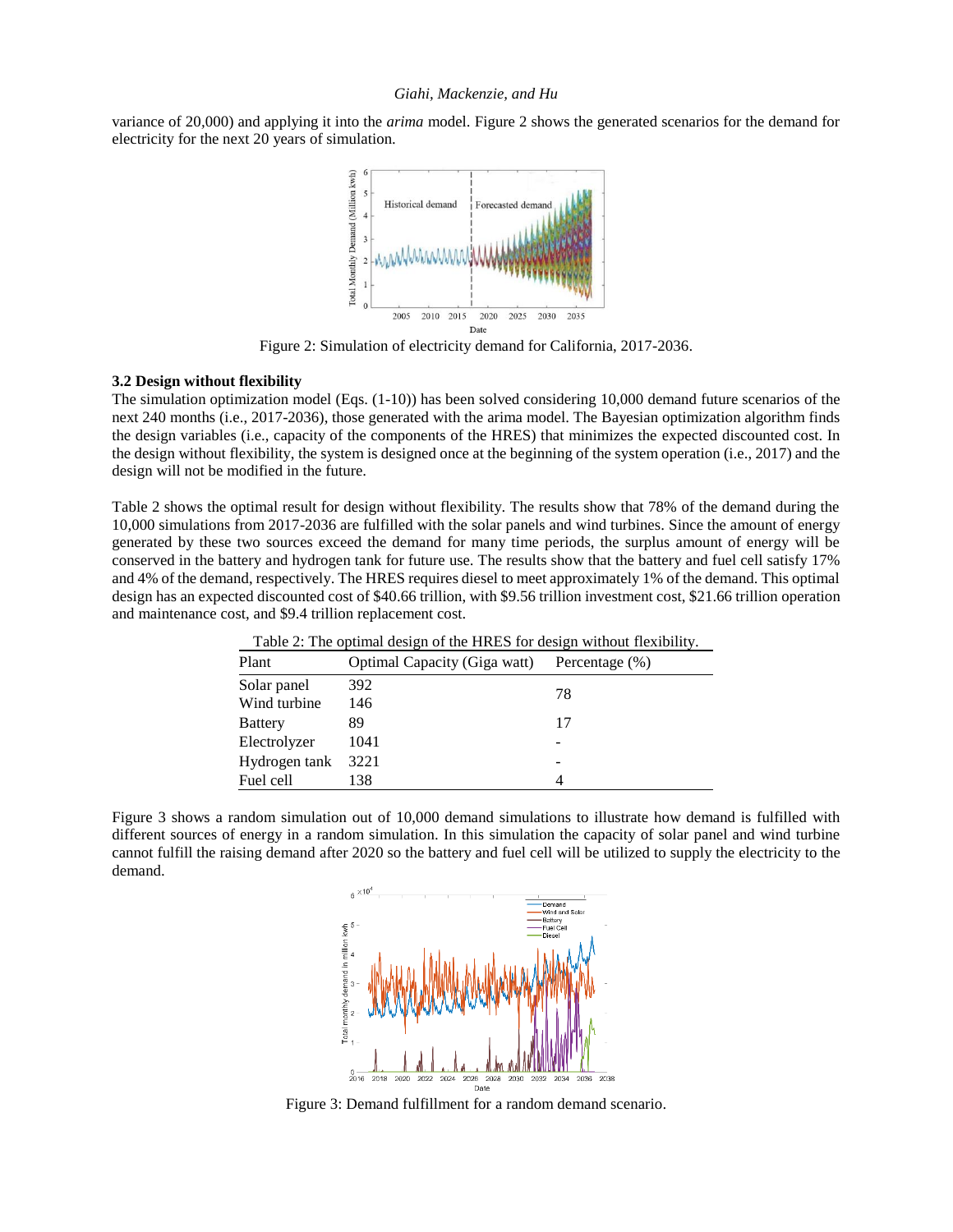variance of 20*,*000) and applying it into the *arima* model. Figure 2 shows the generated scenarios for the demand for electricity for the next 20 years of simulation.



Figure 2: Simulation of electricity demand for California, 2017-2036.

#### **3.2 Design without flexibility**

The simulation optimization model (Eqs. (1-10)) has been solved considering 10,000 demand future scenarios of the next 240 months (i.e., 2017-2036), those generated with the arima model. The Bayesian optimization algorithm finds the design variables (i.e., capacity of the components of the HRES) that minimizes the expected discounted cost. In the design without flexibility, the system is designed once at the beginning of the system operation (i.e., 2017) and the design will not be modified in the future.

Table 2 shows the optimal result for design without flexibility. The results show that 78% of the demand during the 10,000 simulations from 2017-2036 are fulfilled with the solar panels and wind turbines. Since the amount of energy generated by these two sources exceed the demand for many time periods, the surplus amount of energy will be conserved in the battery and hydrogen tank for future use. The results show that the battery and fuel cell satisfy 17% and 4% of the demand, respectively. The HRES requires diesel to meet approximately 1% of the demand. This optimal design has an expected discounted cost of \$40.66 trillion, with \$9.56 trillion investment cost, \$21.66 trillion operation and maintenance cost, and \$9.4 trillion replacement cost.

| opening coorgir or the rired for coorgir written fromome, |                                     |                |  |  |  |  |
|-----------------------------------------------------------|-------------------------------------|----------------|--|--|--|--|
| Plant                                                     | <b>Optimal Capacity (Giga watt)</b> | Percentage (%) |  |  |  |  |
| Solar panel                                               | 392                                 | 78             |  |  |  |  |
| Wind turbine                                              | 146                                 |                |  |  |  |  |
| <b>Battery</b>                                            | 89                                  | 17             |  |  |  |  |
| Electrolyzer                                              | 1041                                |                |  |  |  |  |
| Hydrogen tank                                             | 3221                                |                |  |  |  |  |
| Fuel cell                                                 | 138                                 |                |  |  |  |  |

Table 2: The optimal design of the HRES for design without flexibility.

Figure 3 shows a random simulation out of 10,000 demand simulations to illustrate how demand is fulfilled with different sources of energy in a random simulation. In this simulation the capacity of solar panel and wind turbine cannot fulfill the raising demand after 2020 so the battery and fuel cell will be utilized to supply the electricity to the demand.



Figure 3: Demand fulfillment for a random demand scenario.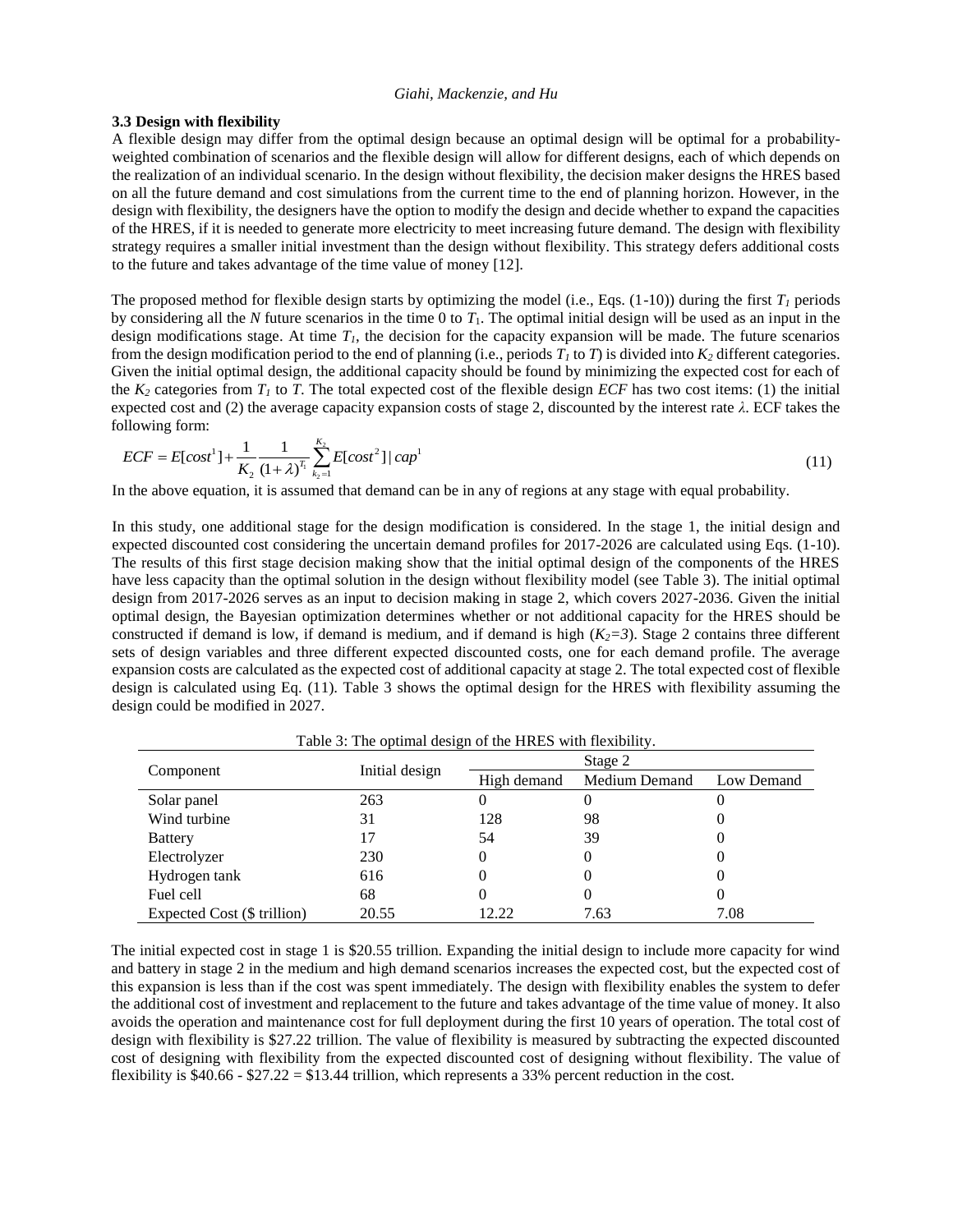#### **3.3 Design with flexibility**

A flexible design may differ from the optimal design because an optimal design will be optimal for a probabilityweighted combination of scenarios and the flexible design will allow for different designs, each of which depends on the realization of an individual scenario. In the design without flexibility, the decision maker designs the HRES based on all the future demand and cost simulations from the current time to the end of planning horizon. However, in the design with flexibility, the designers have the option to modify the design and decide whether to expand the capacities of the HRES, if it is needed to generate more electricity to meet increasing future demand. The design with flexibility strategy requires a smaller initial investment than the design without flexibility. This strategy defers additional costs to the future and takes advantage of the time value of money [12].

The proposed method for flexible design starts by optimizing the model (i.e., Eqs.  $(1-10)$ ) during the first  $T_I$  periods by considering all the N future scenarios in the time 0 to  $T_1$ . The optimal initial design will be used as an input in the design modifications stage. At time  $T<sub>I</sub>$ , the decision for the capacity expansion will be made. The future scenarios from the design modification period to the end of planning (i.e., periods *T<sup>1</sup>* to *T*) is divided into *K<sup>2</sup>* different categories. Given the initial optimal design, the additional capacity should be found by minimizing the expected cost for each of the  $K_2$  categories from  $T_1$  to  $T$ . The total expected cost of the flexible design *ECF* has two cost items: (1) the initial expected cost and (2) the average capacity expansion costs of stage 2, discounted by the interest rate *λ*. ECF takes the following form:

allowing form:

\n
$$
ECF = E[cost^{1}] + \frac{1}{K_{2}} \frac{1}{(1+\lambda)^{T_{1}}} \sum_{k_{2}=1}^{K_{2}} E[cost^{2}] | cap^{1}
$$
\n(11)

In the above equation, it is assumed that demand can be in any of regions at any stage with equal probability.

In this study, one additional stage for the design modification is considered. In the stage 1, the initial design and expected discounted cost considering the uncertain demand profiles for 2017-2026 are calculated using Eqs. (1-10). The results of this first stage decision making show that the initial optimal design of the components of the HRES have less capacity than the optimal solution in the design without flexibility model (see Table 3). The initial optimal design from 2017-2026 serves as an input to decision making in stage 2, which covers 2027-2036. Given the initial optimal design, the Bayesian optimization determines whether or not additional capacity for the HRES should be constructed if demand is low, if demand is medium, and if demand is high  $(K_2=3)$ . Stage 2 contains three different sets of design variables and three different expected discounted costs, one for each demand profile. The average expansion costs are calculated as the expected cost of additional capacity at stage 2. The total expected cost of flexible design is calculated using Eq. (11). Table 3 shows the optimal design for the HRES with flexibility assuming the design could be modified in 2027.

|                             |                | Stage 2                      |      |            |  |
|-----------------------------|----------------|------------------------------|------|------------|--|
| Component                   | Initial design | Medium Demand<br>High demand |      | Low Demand |  |
| Solar panel                 | 263            | 0                            |      |            |  |
| Wind turbine                | 31             | 128                          | 98   |            |  |
| <b>Battery</b>              |                | 54                           | 39   |            |  |
| Electrolyzer                | 230            | 0                            |      |            |  |
| Hydrogen tank               | 616            | 0                            |      |            |  |
| Fuel cell                   | 68             | 0                            |      |            |  |
| Expected Cost (\$ trillion) | 20.55          | 12.22                        | 7.63 | 7.08       |  |

Table 3: The optimal design of the HRES with flexibility.

The initial expected cost in stage 1 is \$20.55 trillion. Expanding the initial design to include more capacity for wind and battery in stage 2 in the medium and high demand scenarios increases the expected cost, but the expected cost of this expansion is less than if the cost was spent immediately. The design with flexibility enables the system to defer the additional cost of investment and replacement to the future and takes advantage of the time value of money. It also avoids the operation and maintenance cost for full deployment during the first 10 years of operation. The total cost of design with flexibility is \$27.22 trillion. The value of flexibility is measured by subtracting the expected discounted cost of designing with flexibility from the expected discounted cost of designing without flexibility. The value of flexibility is  $$40.66 - $27.22 = $13.44$  trillion, which represents a 33% percent reduction in the cost.